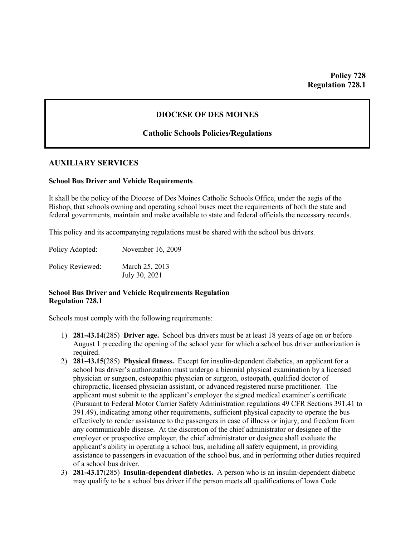# **DIOCESE OF DES MOINES**

## **Catholic Schools Policies/Regulations**

## **AUXILIARY SERVICES**

#### **School Bus Driver and Vehicle Requirements**

It shall be the policy of the Diocese of Des Moines Catholic Schools Office, under the aegis of the Bishop, that schools owning and operating school buses meet the requirements of both the state and federal governments, maintain and make available to state and federal officials the necessary records.

This policy and its accompanying regulations must be shared with the school bus drivers.

Policy Adopted: November 16, 2009

Policy Reviewed: March 25, 2013 July 30, 2021

## **School Bus Driver and Vehicle Requirements Regulation Regulation 728.1**

Schools must comply with the following requirements:

- 1) **281-43.14**(285) **Driver age.** School bus drivers must be at least 18 years of age on or before August 1 preceding the opening of the school year for which a school bus driver authorization is required.
- 2) **281-43.15**(285) **Physical fitness.** Except for insulin-dependent diabetics, an applicant for a school bus driver's authorization must undergo a biennial physical examination by a licensed physician or surgeon, osteopathic physician or surgeon, osteopath, qualified doctor of chiropractic, licensed physician assistant, or advanced registered nurse practitioner. The applicant must submit to the applicant's employer the signed medical examiner's certificate (Pursuant to Federal Motor Carrier Safety Administration regulations 49 CFR Sections 391.41 to 391.49), indicating among other requirements, sufficient physical capacity to operate the bus effectively to render assistance to the passengers in case of illness or injury, and freedom from any communicable disease. At the discretion of the chief administrator or designee of the employer or prospective employer, the chief administrator or designee shall evaluate the applicant's ability in operating a school bus, including all safety equipment, in providing assistance to passengers in evacuation of the school bus, and in performing other duties required of a school bus driver.
- 3) **281-43.17**(285) **Insulin-dependent diabetics.** A person who is an insulin-dependent diabetic may qualify to be a school bus driver if the person meets all qualifications of Iowa Code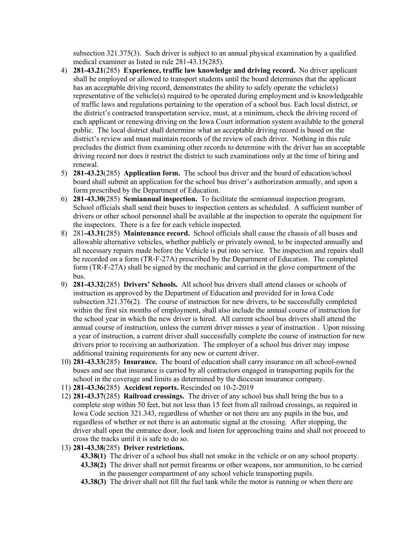subsection 321.375(3). Such driver is subject to an annual physical examination by a qualified medical examiner as listed in rule 281-43.15(285).

- 4) **281-43.21**(285) **Experience, traffic law knowledge and driving record.** No driver applicant shall be employed or allowed to transport students until the board determines that the applicant has an acceptable driving record, demonstrates the ability to safely operate the vehicle(s) representative of the vehicle(s) required to be operated during employment and is knowledgeable of traffic laws and regulations pertaining to the operation of a school bus. Each local district, or the district's contracted transportation service, must, at a minimum, check the driving record of each applicant or renewing driving on the Iowa Court information system available to the general public. The local district shall determine what an acceptable driving record is based on the district's review and must maintain records of the review of each driver. Nothing in this rule precludes the district from examining other records to determine with the driver has an acceptable driving record nor does it restrict the district to such examinations only at the time of hiring and renewal.
- 5) **281-43.23**(285) **Application form.** The school bus driver and the board of education/school board shall submit an application for the school bus driver's authorization annually, and upon a form prescribed by the Department of Education.
- 6) **281-43.30**(285) **Semiannual inspection.** To facilitate the semiannual inspection program, School officials shall send their buses to inspection centers as scheduled. A sufficient number of drivers or other school personnel shall be available at the inspection to operate the equipment for the inspectors. There is a fee for each vehicle inspected.
- 8) 281**-43.31**(285) **Maintenance record.** School officials shall cause the chassis of all buses and allowable alternative vehicles, whether publicly or privately owned, to be inspected annually and all necessary repairs made before the Vehicle is put into service. The inspection and repairs shall be recorded on a form (TR-F-27A) prescribed by the Department of Education. The completed form (TR-F-27A) shall be signed by the mechanic and carried in the glove compartment of the bus.
- 9) **281-43.32**(285) **Drivers' Schools.** All school bus drivers shall attend classes or schools of instruction as approved by the Department of Education and provided for in Iowa Code subsection 321.376(2). The course of instruction for new drivers, to be successfully completed within the first six months of employment, shall also include the annual course of instruction for the school year in which the new driver is hired. All current school bus drivers shall attend the annual course of instruction, unless the current driver misses a year of instruction . Upon missing a year of instruction, a current driver shall successfully complete the course of instruction for new drivers prior to receiving an authorization. The employer of a school bus driver may impose additional training requirements for any new or current driver.
- 10) **281-43.33**(285) **Insurance.** The board of education shall carry insurance on all school-owned buses and see that insurance is carried by all contractors engaged in transporting pupils for the school in the coverage and limits as determined by the diocesan insurance company.
- 11) **281-43.36**(285) **Accident reports.** Rescinded on 10-2-2019
- 12) **281-43.37**(285) **Railroad crossings.** The driver of any school bus shall bring the bus to a complete stop within 50 feet, but not less than 15 feet from all railroad crossings, as required in Iowa Code section 321.343, regardless of whether or not there are any pupils in the bus, and regardless of whether or not there is an automatic signal at the crossing. After stopping, the driver shall open the entrance door, look and listen for approaching trains and shall not proceed to cross the tracks until it is safe to do so.
- 13) **281-43.38**(285) **Driver restrictions.**
	- **43.38(1)** The driver of a school bus shall not smoke in the vehicle or on any school property.
	- **43.38(2)** The driver shall not permit firearms or other weapons, nor ammunition, to be carried in the passenger compartment of any school vehicle transporting pupils.
	- **43.38(3)** The driver shall not fill the fuel tank while the motor is running or when there are